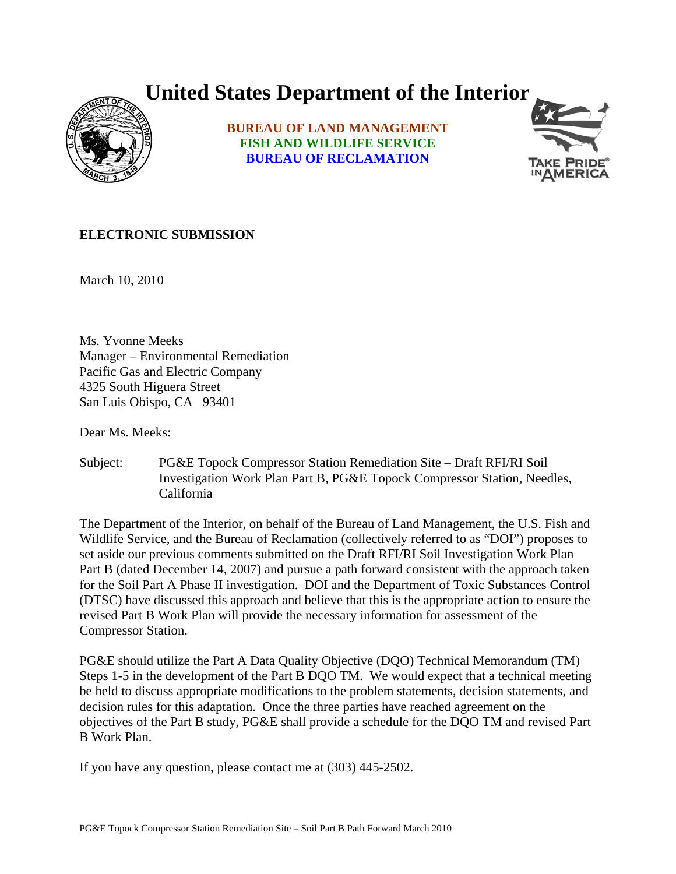## **United States Department of the Interior**



**BUREAU OF LAND MANAGEMENT FISH AND WILDLIFE SERVICE BUREAU OF RECLAMATION**



## **ELECTRONIC SUBMISSION**

March 10, 2010

Ms. Yvonne Meeks Manager – Environmental Remediation Pacific Gas and Electric Company 4325 South Higuera Street San Luis Obispo, CA 93401

Dear Ms. Meeks:

Subject: PG&E Topock Compressor Station Remediation Site – Draft RFI/RI Soil Investigation Work Plan Part B, PG&E Topock Compressor Station, Needles, California

The Department of the Interior, on behalf of the Bureau of Land Management, the U.S. Fish and Wildlife Service, and the Bureau of Reclamation (collectively referred to as "DOI") proposes to set aside our previous comments submitted on the Draft RFI/RI Soil Investigation Work Plan Part B (dated December 14, 2007) and pursue a path forward consistent with the approach taken for the Soil Part A Phase II investigation. DOI and the Department of Toxic Substances Control (DTSC) have discussed this approach and believe that this is the appropriate action to ensure the revised Part B Work Plan will provide the necessary information for assessment of the Compressor Station.

PG&E should utilize the Part A Data Quality Objective (DQO) Technical Memorandum (TM) Steps 1-5 in the development of the Part B DQO TM. We would expect that a technical meeting be held to discuss appropriate modifications to the problem statements, decision statements, and decision rules for this adaptation. Once the three parties have reached agreement on the objectives of the Part B study, PG&E shall provide a schedule for the DQO TM and revised Part B Work Plan.

If you have any question, please contact me at (303) 445-2502.